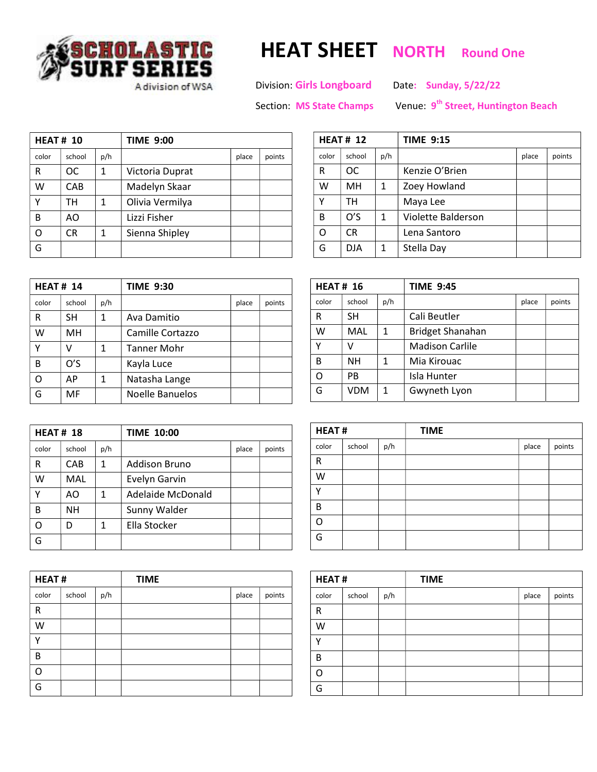

## DLASTIC HEAT SHEET NORTH Round One<br>FSERIES

Adivision of WSA Division: Girls Longboard Date: Sunday, 5/22/22

Section: MS State Champs

Venue 9<sup>th</sup> Street, Huntington Beach

| <b>HEAT# 10</b> |           |     | <b>TIME 9:00</b> |       |        |
|-----------------|-----------|-----|------------------|-------|--------|
| color           | school    | p/h |                  | place | points |
| R               | OC.       | 1   | Victoria Duprat  |       |        |
| w               | CAB       |     | Madelyn Skaar    |       |        |
| ٧               | тн        | 1   | Olivia Vermilya  |       |        |
| B               | AO        |     | Lizzi Fisher     |       |        |
| റ               | <b>CR</b> | 1   | Sienna Shipley   |       |        |
| G               |           |     |                  |       |        |

| <b>HEAT# 14</b> |        |     | <b>TIME 9:30</b> |       |        |  |
|-----------------|--------|-----|------------------|-------|--------|--|
| color           | school | p/h |                  | place | points |  |
| R               | SН     | 1   | Ava Damitio      |       |        |  |
| W               | MH     |     | Camille Cortazzo |       |        |  |
| Υ               | v      | 1   | Tanner Mohr      |       |        |  |
| B               | O'S    |     | Kayla Luce       |       |        |  |
| Ω               | АP     | 1   | Natasha Lange    |       |        |  |
|                 | MF     |     | Noelle Banuelos  |       |        |  |

| <b>HEAT# 18</b> |            |     | <b>TIME 10:00</b> |       |        |
|-----------------|------------|-----|-------------------|-------|--------|
| color           | school     | p/h |                   | place | points |
| R               | CAB        | 1   | Addison Bruno     |       |        |
| w               | <b>MAL</b> |     | Evelyn Garvin     |       |        |
| γ               | AO         | 1   | Adelaide McDonald |       |        |
| B               | <b>NH</b>  |     | Sunny Walder      |       |        |
| റ               |            | 1   | Ella Stocker      |       |        |
|                 |            |     |                   |       |        |

| <b>HEAT#</b> |        |     | <b>TIME</b> |       |        |
|--------------|--------|-----|-------------|-------|--------|
| color        | school | p/h |             | place | points |
| R            |        |     |             |       |        |
| W            |        |     |             |       |        |
| v            |        |     |             |       |        |
| B            |        |     |             |       |        |
| റ            |        |     |             |       |        |
| G            |        |     |             |       |        |

| <b>HEAT# 12</b> |           |              | <b>TIME 9:15</b>   |       |        |  |  |
|-----------------|-----------|--------------|--------------------|-------|--------|--|--|
| color           | school    | p/h          |                    | place | points |  |  |
| R               | ОC        |              | Kenzie O'Brien     |       |        |  |  |
| W               | <b>MH</b> | $\mathbf{1}$ | Zoey Howland       |       |        |  |  |
| Υ               | тн        |              | Maya Lee           |       |        |  |  |
| B               | O'S       | 1            | Violette Balderson |       |        |  |  |
| Ω               | CR.       |              | Lena Santoro       |       |        |  |  |
| G               | DJA       | 1            | Stella Day         |       |        |  |  |

| <b>HEAT# 16</b> |        |              | <b>TIME 9:45</b>        |       |        |  |
|-----------------|--------|--------------|-------------------------|-------|--------|--|
| color           | school | p/h          |                         | place | points |  |
| R               | SН     |              | Cali Beutler            |       |        |  |
| W               | MAL    | 1            | <b>Bridget Shanahan</b> |       |        |  |
| Υ               | v      |              | <b>Madison Carlile</b>  |       |        |  |
| В               | NΗ     | 1            | Mia Kirouac             |       |        |  |
| O               | PB     |              | Isla Hunter             |       |        |  |
| G               | VDM    | $\mathbf{1}$ | Gwyneth Lyon            |       |        |  |

| <b>HEAT#</b> |        |     | <b>TIME</b> |       |        |
|--------------|--------|-----|-------------|-------|--------|
| color        | school | p/h |             | place | points |
| $\mathsf R$  |        |     |             |       |        |
| W            |        |     |             |       |        |
| v            |        |     |             |       |        |
| B            |        |     |             |       |        |
| റ            |        |     |             |       |        |
| G            |        |     |             |       |        |

| <b>HEAT#</b> |        |     | <b>TIME</b> |       |        |  |
|--------------|--------|-----|-------------|-------|--------|--|
| color        | school | p/h |             | place | points |  |
| $\mathsf R$  |        |     |             |       |        |  |
| W            |        |     |             |       |        |  |
| $\checkmark$ |        |     |             |       |        |  |
| B            |        |     |             |       |        |  |
| റ            |        |     |             |       |        |  |
| G            |        |     |             |       |        |  |